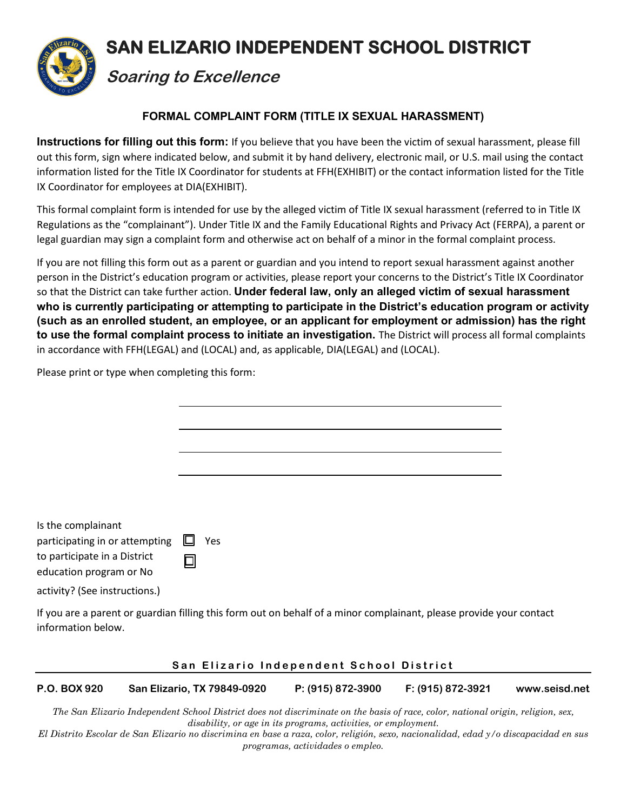

# **FORMAL COMPLAINT FORM (TITLE IX SEXUAL HARASSMENT)**

**Instructions for filling out this form:** If you believe that you have been the victim of sexual harassment, please fill out this form, sign where indicated below, and submit it by hand delivery, electronic mail, or U.S. mail using the contact information listed for the Title IX Coordinator for students at FFH(EXHIBIT) or the contact information listed for the Title IX Coordinator for employees at DIA(EXHIBIT).

This formal complaint form is intended for use by the alleged victim of Title IX sexual harassment (referred to in Title IX Regulations as the "complainant"). Under Title IX and the Family Educational Rights and Privacy Act (FERPA), a parent or legal guardian may sign a complaint form and otherwise act on behalf of a minor in the formal complaint process.

If you are not filling this form out as a parent or guardian and you intend to report sexual harassment against another person in the District's education program or activities, please report your concerns to the District's Title IX Coordinator so that the District can take further action. **Under federal law, only an alleged victim of sexual harassment who is currently participating or attempting to participate in the District's education program or activity (such as an enrolled student, an employee, or an applicant for employment or admission) has the right to use the formal complaint process to initiate an investigation.** The District will process all formal complaints in accordance with FFH(LEGAL) and (LOCAL) and, as applicable, DIA(LEGAL) and (LOCAL).

Please print or type when completing this form:

information below.

| Is the complainant<br>participating in or attempting $\Box$<br>to participate in a District<br>education program or No | 미 | Yes                                                                                                                 |  |
|------------------------------------------------------------------------------------------------------------------------|---|---------------------------------------------------------------------------------------------------------------------|--|
| activity? (See instructions.)                                                                                          |   |                                                                                                                     |  |
|                                                                                                                        |   | If you are a parent or guardian filling this form out on behalf of a minor complainant, please provide your contact |  |

### **San Elizario Independent School District**

**P.O. BOX 920 San Elizario, TX 79849-0920 P: (915) 872-3900 F: (915) 872-3921 [www.seisd.net](http://www.seisd.net/)** 

*The San Elizario Independent School District does not discriminate on the basis of race, color, national origin, religion, sex, disability, or age in its programs, activities, or employment.*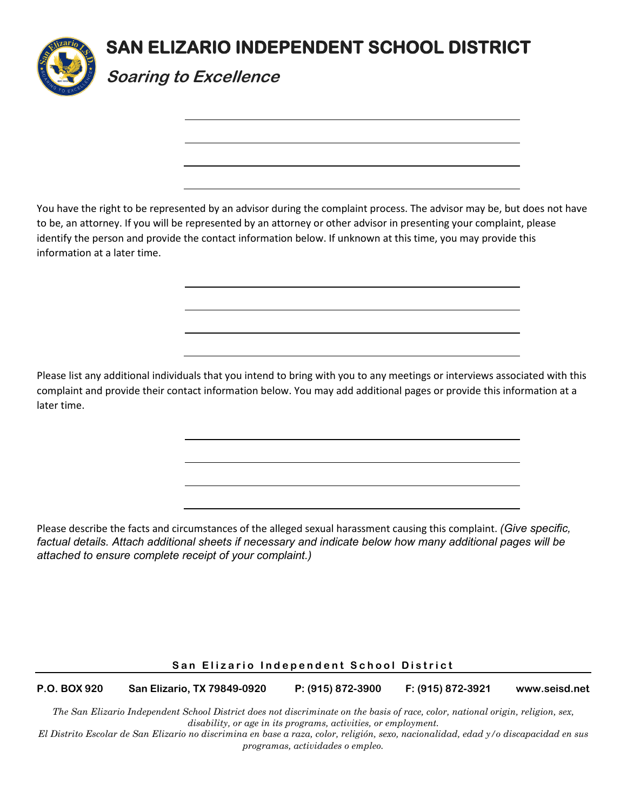

You have the right to be represented by an advisor during the complaint process. The advisor may be, but does not have to be, an attorney. If you will be represented by an attorney or other advisor in presenting your complaint, please identify the person and provide the contact information below. If unknown at this time, you may provide this information at a later time.

Please list any additional individuals that you intend to bring with you to any meetings or interviews associated with this complaint and provide their contact information below. You may add additional pages or provide this information at a later time.

Please describe the facts and circumstances of the alleged sexual harassment causing this complaint. *(Give specific, factual details. Attach additional sheets if necessary and indicate below how many additional pages will be attached to ensure complete receipt of your complaint.)* 

## **San Elizario Independent School District**

**P.O. BOX 920 San Elizario, TX 79849-0920 P: (915) 872-3900 F: (915) 872-3921 [www.seisd.net](http://www.seisd.net/)** 

*The San Elizario Independent School District does not discriminate on the basis of race, color, national origin, religion, sex, disability, or age in its programs, activities, or employment.*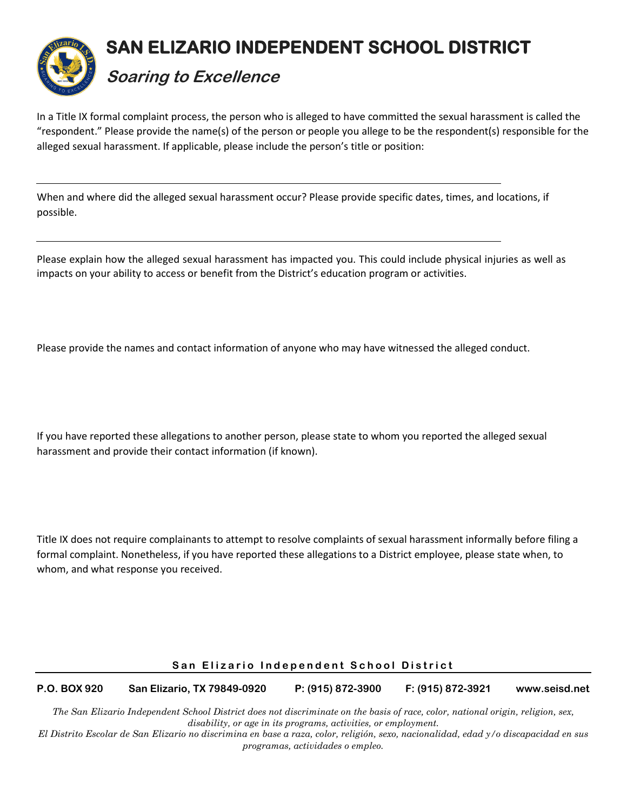

In a Title IX formal complaint process, the person who is alleged to have committed the sexual harassment is called the "respondent." Please provide the name(s) of the person or people you allege to be the respondent(s) responsible for the alleged sexual harassment. If applicable, please include the person's title or position:

When and where did the alleged sexual harassment occur? Please provide specific dates, times, and locations, if possible.

Please explain how the alleged sexual harassment has impacted you. This could include physical injuries as well as impacts on your ability to access or benefit from the District's education program or activities.

Please provide the names and contact information of anyone who may have witnessed the alleged conduct.

If you have reported these allegations to another person, please state to whom you reported the alleged sexual harassment and provide their contact information (if known).

Title IX does not require complainants to attempt to resolve complaints of sexual harassment informally before filing a formal complaint. Nonetheless, if you have reported these allegations to a District employee, please state when, to whom, and what response you received.

### **San Elizario Independent School District**

**P.O. BOX 920 San Elizario, TX 79849-0920 P: (915) 872-3900 F: (915) 872-3921 [www.seisd.net](http://www.seisd.net/)**

*The San Elizario Independent School District does not discriminate on the basis of race, color, national origin, religion, sex, disability, or age in its programs, activities, or employment.*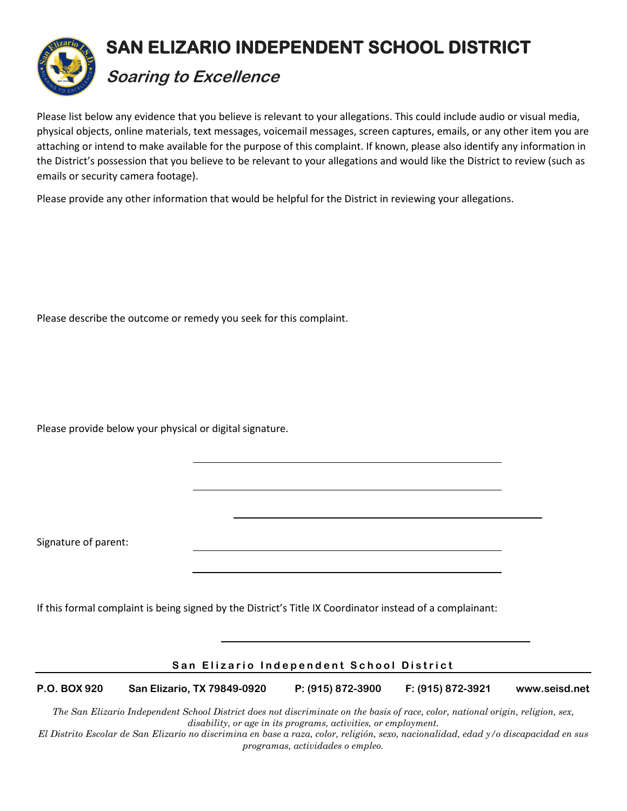

Please list below any evidence that you believe is relevant to your allegations. This could include audio or visual media, physical objects, online materials, text messages, voicemail messages, screen captures, emails, or any other item you are attaching or intend to make available for the purpose of this complaint. If known, please also identify any information in the District's possession that you believe to be relevant to your allegations and would like the District to review (such as emails or security camera footage).

Please provide any other information that would be helpful for the District in reviewing your allegations.

Please describe the outcome or remedy you seek for this complaint.

Please provide below your physical or digital signature.

Signature of parent:

If this formal complaint is being signed by the District's Title IX Coordinator instead of a complainant:

## **San Elizario Independent School District**

**P.O. BOX 920 San Elizario, TX 79849-0920 P: (915) 872-3900 F: (915) 872-3921 [www.seisd.net](http://www.seisd.net/)** 

*The San Elizario Independent School District does not discriminate on the basis of race, color, national origin, religion, sex, disability, or age in its programs, activities, or employment.*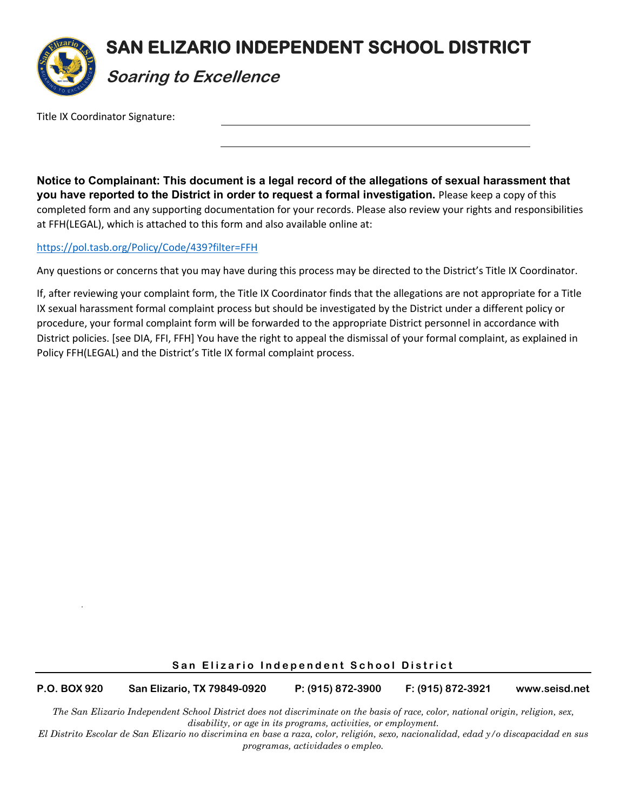

Title IX Coordinator Signature:

**Notice to Complainant: This document is a legal record of the allegations of sexual harassment that you have reported to the District in order to request a formal investigation.** Please keep a copy of this completed form and any supporting documentation for your records. Please also review your rights and responsibilities at FFH(LEGAL), which is attached to this form and also available online at:

### <https://pol.tasb.org/Policy/Code/439?filter=FFH>

Any questions or concerns that you may have during this process may be directed to the District's Title IX Coordinator.

If, after reviewing your complaint form, the Title IX Coordinator finds that the allegations are not appropriate for a Title IX sexual harassment formal complaint process but should be investigated by the District under a different policy or procedure, your formal complaint form will be forwarded to the appropriate District personnel in accordance with District policies. [see DIA, FFI, FFH] You have the right to appeal the dismissal of your formal complaint, as explained in Policy FFH(LEGAL) and the District's Title IX formal complaint process.

### **San Elizario Independent School District**

**P.O. BOX 920 San Elizario, TX 79849-0920 P: (915) 872-3900 F: (915) 872-3921 [www.seisd.net](http://www.seisd.net/)** 

*The San Elizario Independent School District does not discriminate on the basis of race, color, national origin, religion, sex, disability, or age in its programs, activities, or employment.*